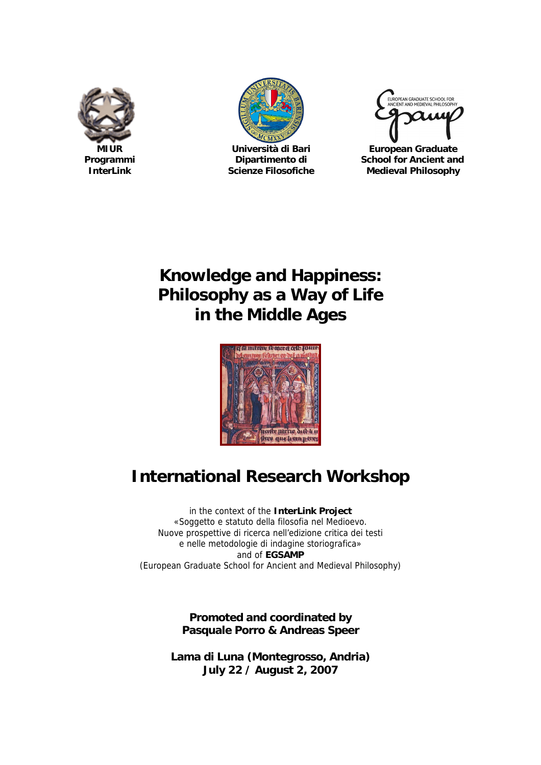





**MIUR Università di Bari European Graduate Programmi Dipartimento di School for Ancient and InterLink Scienze Filosofiche Medieval Philosophy**

# **Knowledge and Happiness: Philosophy as a Way of Life in the Middle Ages**



# **International Research Workshop**

in the context of the **InterLink Project** «Soggetto e statuto della filosofia nel Medioevo. Nuove prospettive di ricerca nell'edizione critica dei testi e nelle metodologie di indagine storiografica» and of **EGSAMP** (European Graduate School for Ancient and Medieval Philosophy)

> **Promoted and coordinated by Pasquale Porro & Andreas Speer**

**Lama di Luna (Montegrosso, Andria) July 22 / August 2, 2007**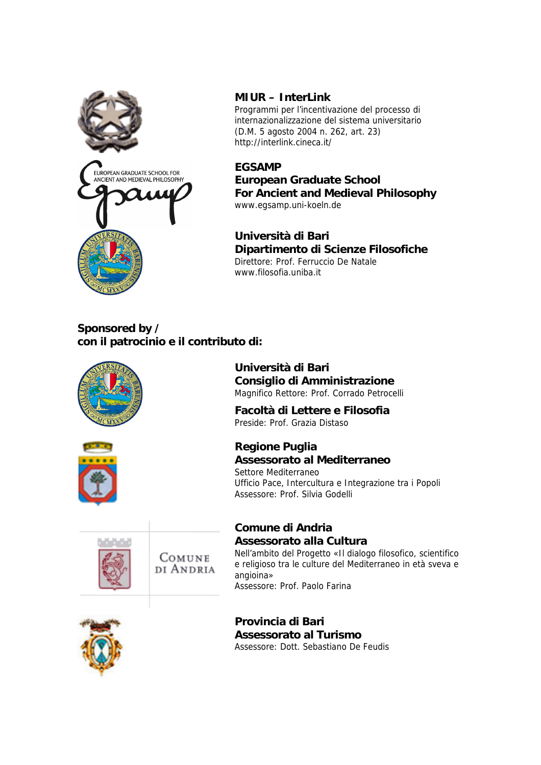

#### **MIUR – InterLink**

Programmi per l'incentivazione del processo di internazionalizzazione del sistema universitario (D.M. 5 agosto 2004 n. 262, art. 23) <http://interlink.cineca.it/>

#### **EGSAMP**

**European Graduate School For Ancient and Medieval Philosophy** [www.egsamp.uni-koeln.de](http://www.egsamp.uni-koeln.de)

**Università di Bari Dipartimento di Scienze Filosofiche** Direttore: Prof. Ferruccio De Natale [www.filosofia.uniba.it](http://www.filosofia.uniba.it)

#### **Sponsored by / con il patrocinio e il contributo di:**

|                     | Università di Bari<br>Consiglio di Amministrazione<br>Magnifico Rettore: Prof. Corrado Petrocelli<br>Facoltà di Lettere e Filosofia<br>Preside: Prof. Grazia Distaso                                                     |
|---------------------|--------------------------------------------------------------------------------------------------------------------------------------------------------------------------------------------------------------------------|
|                     | Regione Puglia<br>Assessorato al Mediterraneo<br>Settore Mediterraneo<br>Ufficio Pace, Intercultura e Integrazione tra i Popoli<br>Assessore: Prof. Silvia Godelli                                                       |
| COMUNE<br>di Andria | Comune di Andria<br>Assessorato alla Cultura<br>Nell'ambito del Progetto «Il dialogo filosofico, scientifico<br>e religioso tra le culture del Mediterraneo in età sveva e<br>angioina»<br>Assessore: Prof. Paolo Farina |
|                     | Provincia di Bari<br>Assessorato al Turismo<br>Assessore: Dott, Sebastiano De Feudis                                                                                                                                     |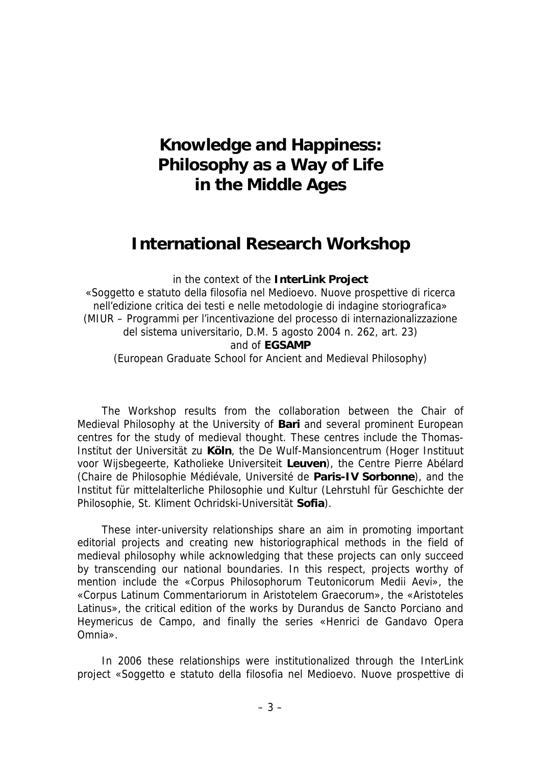# **Knowledge and Happiness: Philosophy as a Way of Life in the Middle Ages**

## **International Research Workshop**

in the context of the **InterLink Project** «Soggetto e statuto della filosofia nel Medioevo. Nuove prospettive di ricerca nell'edizione critica dei testi e nelle metodologie di indagine storiografica» (MIUR – Programmi per l'incentivazione del processo di internazionalizzazione del sistema universitario, D.M. 5 agosto 2004 n. 262, art. 23) and of **EGSAMP** (European Graduate School for Ancient and Medieval Philosophy)

The Workshop results from the collaboration between the Chair of Medieval Philosophy at the University of **Bari** and several prominent European centres for the study of medieval thought. These centres include the Thomas-Institut der Universität zu **Köln**, the De Wulf-Mansioncentrum (Hoger Instituut voor Wijsbegeerte, Katholieke Universiteit **Leuven**), the Centre Pierre Abélard (Chaire de Philosophie Médiévale, Université de **Paris-IV Sorbonne**), and the Institut für mittelalterliche Philosophie und Kultur (Lehrstuhl für Geschichte der Philosophie, St. Kliment Ochridski-Universität **Sofia**).

These inter-university relationships share an aim in promoting important editorial projects and creating new historiographical methods in the field of medieval philosophy while acknowledging that these projects can only succeed by transcending our national boundaries. In this respect, projects worthy of mention include the «Corpus Philosophorum Teutonicorum Medii Aevi», the «Corpus Latinum Commentariorum in Aristotelem Graecorum», the «Aristoteles Latinus», the critical edition of the works by Durandus de Sancto Porciano and Heymericus de Campo, and finally the series «Henrici de Gandavo Opera Omnia».

In 2006 these relationships were institutionalized through the InterLink project «Soggetto e statuto della filosofia nel Medioevo. Nuove prospettive di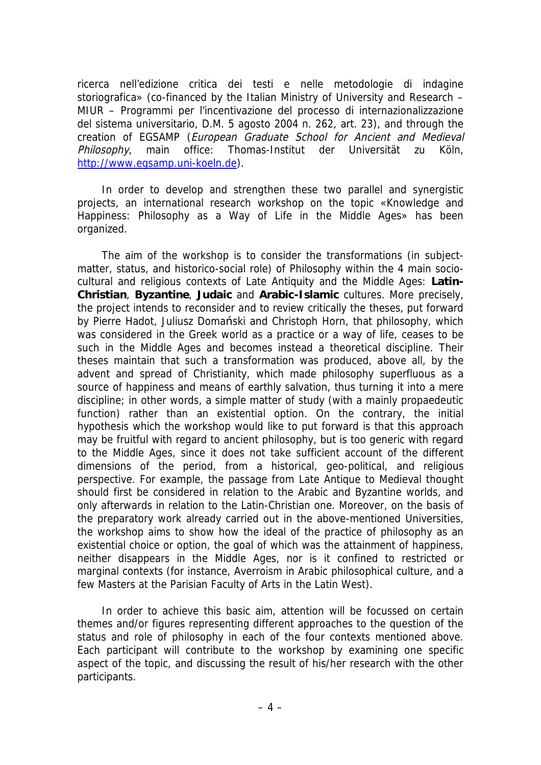ricerca nell'edizione critica dei testi e nelle metodologie di indagine storiografica» (co-financed by the Italian Ministry of University and Research – MIUR – Programmi per l'incentivazione del processo di internazionalizzazione del sistema universitario, D.M. 5 agosto 2004 n. 262, art. 23), and through the creation of EGSAMP (European Graduate School for Ancient and Medieval Philosophy, main office: Thomas-Institut der Universität zu Köln, [http://www.egsamp.uni-koeln.de\).](http://www.egsamp.uni-koeln.de).)

In order to develop and strengthen these two parallel and synergistic projects, an international research workshop on the topic «Knowledge and Happiness: Philosophy as a Way of Life in the Middle Ages» has been organized.

The aim of the workshop is to consider the transformations (in subjectmatter, status, and historico-social role) of Philosophy within the 4 main sociocultural and religious contexts of Late Antiquity and the Middle Ages: **Latin-Christian**, **Byzantine**, **Judaic** and **Arabic-Islamic** cultures. More precisely, the project intends to reconsider and to review critically the theses, put forward by Pierre Hadot, Juliusz Domański and Christoph Horn, that philosophy, which was considered in the Greek world as a practice or a way of life, ceases to be such in the Middle Ages and becomes instead a theoretical discipline. Their theses maintain that such a transformation was produced, above all, by the advent and spread of Christianity, which made philosophy superfluous as a source of happiness and means of earthly salvation, thus turning it into a mere discipline; in other words, a simple matter of study (with a mainly propaedeutic function) rather than an existential option. On the contrary, the initial hypothesis which the workshop would like to put forward is that this approach may be fruitful with regard to ancient philosophy, but is too generic with regard to the Middle Ages, since it does not take sufficient account of the different dimensions of the period, from a historical, geo-political, and religious perspective. For example, the passage from Late Antique to Medieval thought should first be considered in relation to the Arabic and Byzantine worlds, and only afterwards in relation to the Latin-Christian one. Moreover, on the basis of the preparatory work already carried out in the above-mentioned Universities, the workshop aims to show how the ideal of the practice of philosophy as an existential choice or option, the goal of which was the attainment of happiness, neither disappears in the Middle Ages, nor is it confined to restricted or marginal contexts (for instance, Averroism in Arabic philosophical culture, and a few Masters at the Parisian Faculty of Arts in the Latin West).

In order to achieve this basic aim, attention will be focussed on certain themes and/or figures representing different approaches to the question of the status and role of philosophy in each of the four contexts mentioned above. Each participant will contribute to the workshop by examining one specific aspect of the topic, and discussing the result of his/her research with the other participants.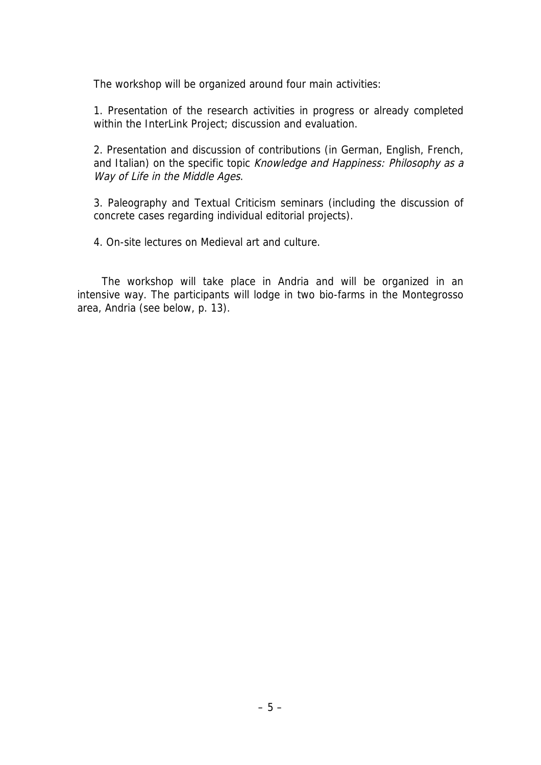The workshop will be organized around four main activities:

1. Presentation of the research activities in progress or already completed within the InterLink Project; discussion and evaluation.

2. Presentation and discussion of contributions (in German, English, French, and Italian) on the specific topic Knowledge and Happiness: Philosophy as a Way of Life in the Middle Ages.

3. Paleography and Textual Criticism seminars (including the discussion of concrete cases regarding individual editorial projects).

4. On-site lectures on Medieval art and culture.

The workshop will take place in Andria and will be organized in an intensive way. The participants will lodge in two bio-farms in the Montegrosso area, Andria (see below, p. 13).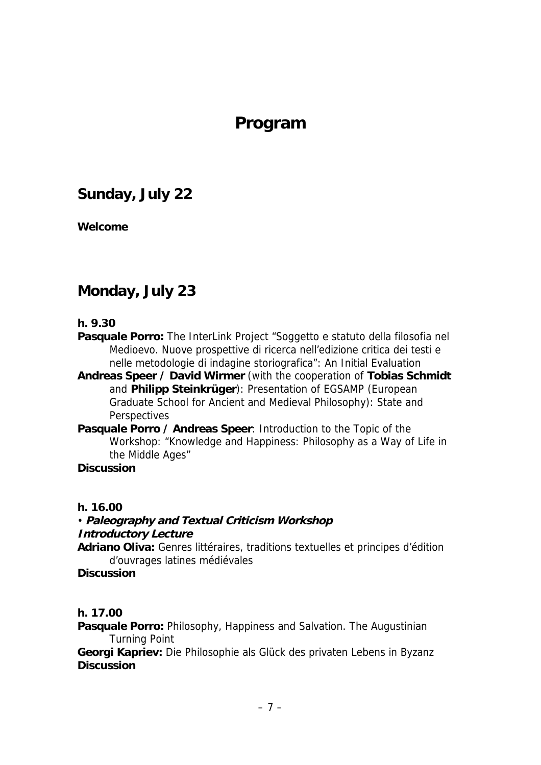# **Program**

## **Sunday, July 22**

**Welcome**

#### **Monday, July 23**

**h. 9.30**

**Pasquale Porro:** The InterLink Project "Soggetto e statuto della filosofia nel Medioevo. Nuove prospettive di ricerca nell'edizione critica dei testi e nelle metodologie di indagine storiografica": An Initial Evaluation

**Andreas Speer / David Wirmer** (with the cooperation of **Tobias Schmidt** and **Philipp Steinkrüger**): Presentation of EGSAMP (European Graduate School for Ancient and Medieval Philosophy): State and **Perspectives** 

**Pasquale Porro / Andreas Speer**: Introduction to the Topic of the Workshop: "Knowledge and Happiness: Philosophy as a Way of Life in the Middle Ages"

**Discussion**

**h. 16.00**

• **Paleography and Textual Criticism Workshop Introductory Lecture Adriano Oliva:** Genres littéraires, traditions textuelles et principes d'édition d'ouvrages latines médiévales **Discussion**

**h. 17.00**

**Pasquale Porro:** Philosophy, Happiness and Salvation. The Augustinian Turning Point

**Georgi Kapriev:** Die Philosophie als Glück des privaten Lebens in Byzanz **Discussion**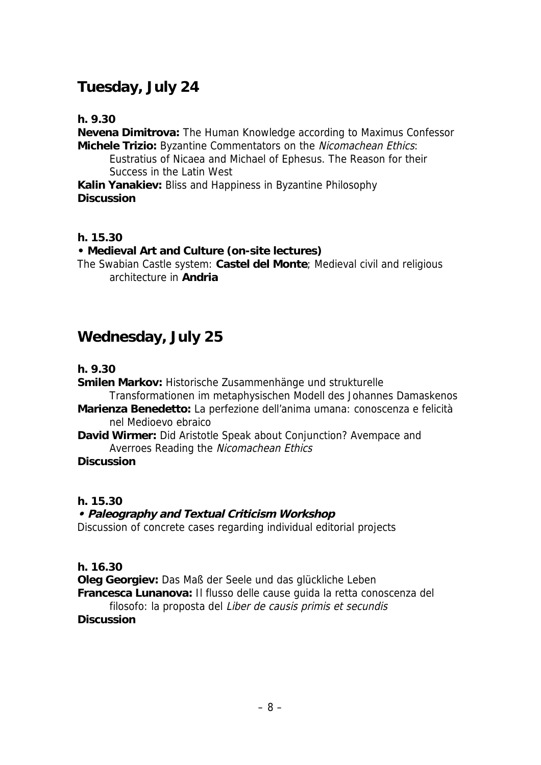### **Tuesday, July 24**

**h. 9.30**

**Nevena Dimitrova:** The Human Knowledge according to Maximus Confessor **Michele Trizio:** Byzantine Commentators on the Nicomachean Ethics:

Eustratius of Nicaea and Michael of Ephesus. The Reason for their Success in the Latin West

**Kalin Yanakiev:** Bliss and Happiness in Byzantine Philosophy **Discussion**

**h. 15.30**

**• Medieval Art and Culture (on-site lectures)**

The Swabian Castle system: **Castel del Monte**; Medieval civil and religious architecture in **Andria**

#### **Wednesday, July 25**

**h. 9.30**

**Smilen Markov:** Historische Zusammenhänge und strukturelle

Transformationen im metaphysischen Modell des Johannes Damaskenos **Marienza Benedetto:** La perfezione dell'anima umana: conoscenza e felicità

nel Medioevo ebraico

**David Wirmer:** Did Aristotle Speak about Conjunction? Avempace and Averroes Reading the Nicomachean Ethics

**Discussion**

**h. 15.30**

**• Paleography and Textual Criticism Workshop** Discussion of concrete cases regarding individual editorial projects

**h. 16.30**

**Oleg Georgiev:** Das Maß der Seele und das glückliche Leben **Francesca Lunanova:** Il flusso delle cause guida la retta conoscenza del

filosofo: la proposta del Liber de causis primis et secundis **Discussion**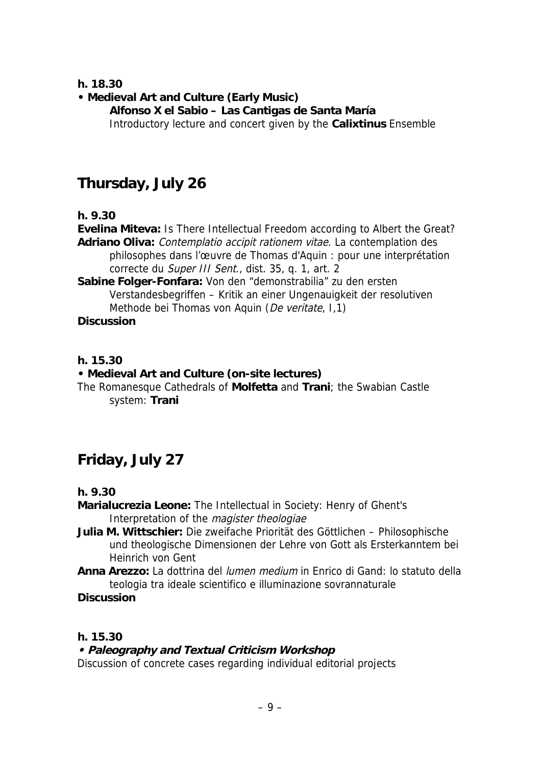**h. 18.30**

**• Medieval Art and Culture (Early Music)**

**Alfonso X el Sabio – Las Cantigas de Santa María** Introductory lecture and concert given by the **Calixtinus** Ensemble

### **Thursday, July 26**

**h. 9.30**

**Evelina Miteva:** Is There Intellectual Freedom according to Albert the Great? **Adriano Oliva:** Contemplatio accipit rationem vitae. La contemplation des philosophes dans l'œuvre de Thomas d'Aquin : pour une interprétation correcte du Super III Sent., dist. 35, q. 1, art. 2

**Sabine Folger-Fonfara:** Von den "demonstrabilia" zu den ersten Verstandesbegriffen – Kritik an einer Ungenauigkeit der resolutiven Methode bei Thomas von Aquin (De veritate, I,1) **Discussion**

**h. 15.30**

**• Medieval Art and Culture (on-site lectures)**

The Romanesque Cathedrals of **Molfetta** and **Trani**; the Swabian Castle system: **Trani**

# **Friday, July 27**

**h. 9.30**

**Marialucrezia Leone:** The Intellectual in Society: Henry of Ghent's Interpretation of the magister theologiae

**Julia M. Wittschier:** Die zweifache Priorität des Göttlichen – Philosophische und theologische Dimensionen der Lehre von Gott als Ersterkanntem bei Heinrich von Gent

**Anna Arezzo:** La dottrina del lumen medium in Enrico di Gand: lo statuto della teologia tra ideale scientifico e illuminazione sovrannaturale

**Discussion**

**h. 15.30**

**• Paleography and Textual Criticism Workshop** Discussion of concrete cases regarding individual editorial projects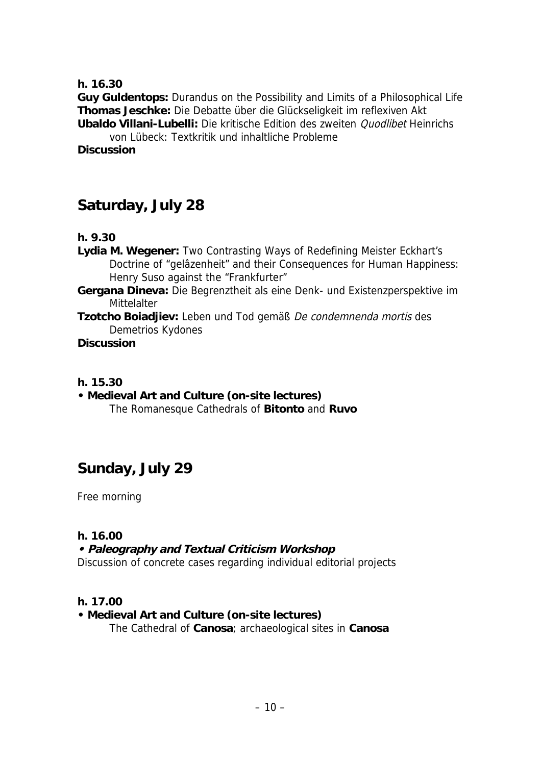**h. 16.30**

**Guy Guldentops:** Durandus on the Possibility and Limits of a Philosophical Life **Thomas Jeschke:** Die Debatte über die Glückseligkeit im reflexiven Akt **Ubaldo Villani-Lubelli:** Die kritische Edition des zweiten Quodlibet Heinrichs

von Lübeck: Textkritik und inhaltliche Probleme **Discussion**

### **Saturday, July 28**

**h. 9.30**

- **Lydia M. Wegener:** Two Contrasting Ways of Redefining Meister Eckhart's Doctrine of "gelâzenheit" and their Consequences for Human Happiness: Henry Suso against the "Frankfurter"
- **Gergana Dineva:** Die Begrenztheit als eine Denk- und Existenzperspektive im **Mittelalter**

**Tzotcho Boiadjiev:** Leben und Tod gemäß De condemnenda mortis des Demetrios Kydones

**Discussion**

**h. 15.30**

**• Medieval Art and Culture (on-site lectures)** The Romanesque Cathedrals of **Bitonto** and **Ruvo**

#### **Sunday, July 29**

Free morning

**h. 16.00**

**• Paleography and Textual Criticism Workshop** Discussion of concrete cases regarding individual editorial projects

**h. 17.00**

**• Medieval Art and Culture (on-site lectures)** The Cathedral of **Canosa**; archaeological sites in **Canosa**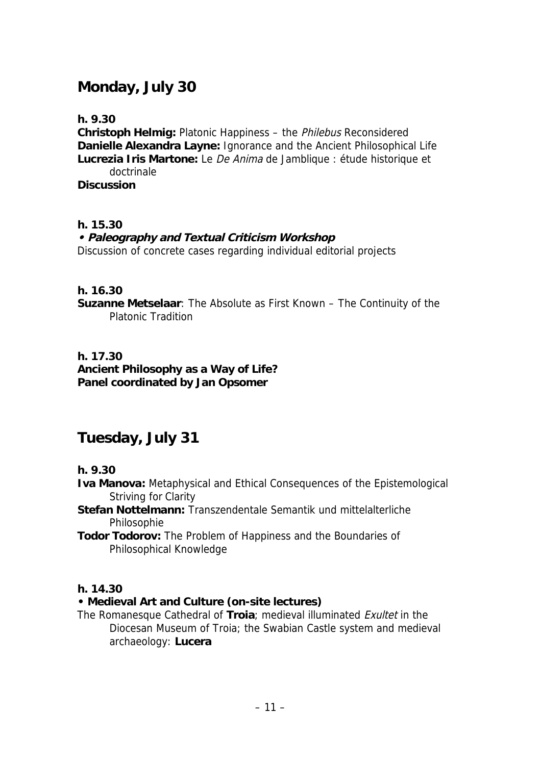#### **Monday, July 30**

**h. 9.30**

**Christoph Helmig:** Platonic Happiness – the Philebus Reconsidered **Danielle Alexandra Layne:** Ignorance and the Ancient Philosophical Life **Lucrezia Iris Martone:** Le De Anima de Jamblique : étude historique et doctrinale **Discussion**

**h. 15.30**

**• Paleography and Textual Criticism Workshop** Discussion of concrete cases regarding individual editorial projects

**h. 16.30**

**Suzanne Metselaar**: The Absolute as First Known – The Continuity of the Platonic Tradition

**h. 17.30 Ancient Philosophy as a Way of Life? Panel coordinated by Jan Opsomer**

#### **Tuesday, July 31**

**h. 9.30**

- **Iva Manova:** Metaphysical and Ethical Consequences of the Epistemological Striving for Clarity
- **Stefan Nottelmann:** Transzendentale Semantik und mittelalterliche Philosophie
- **Todor Todorov:** The Problem of Happiness and the Boundaries of Philosophical Knowledge

**h. 14.30**

- **Medieval Art and Culture (on-site lectures)**
- The Romanesque Cathedral of **Troia**; medieval illuminated Exultet in the Diocesan Museum of Troia; the Swabian Castle system and medieval archaeology: **Lucera**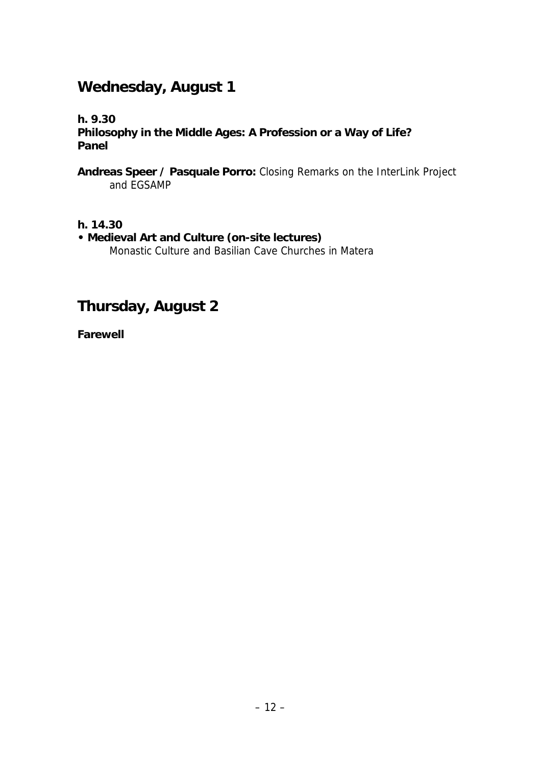### **Wednesday, August 1**

**h. 9.30**

**Philosophy in the Middle Ages: A Profession or a Way of Life? Panel**

**Andreas Speer / Pasquale Porro:** Closing Remarks on the InterLink Project and EGSAMP

**h. 14.30**

**• Medieval Art and Culture (on-site lectures)** Monastic Culture and Basilian Cave Churches in Matera

**Thursday, August 2**

**Farewell**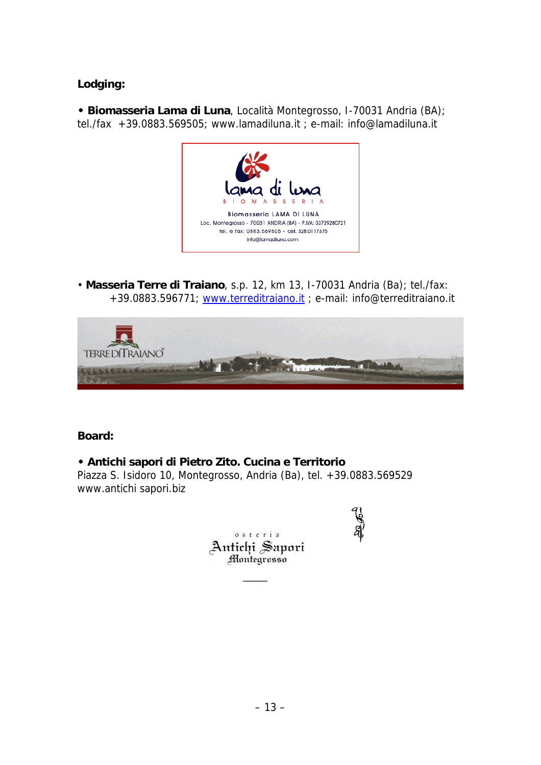**Lodging:**

**• Biomasseria Lama di Luna**, Località Montegrosso, I-70031 Andria (BA); tel./fax +39.0883.569505; [www.lamadiluna.it](http://www.lamadiluna.it) ; e-mail: [info@lamadiluna.it](mailto:info@lamadiluna.it)



• **Masseria Terre di Traiano**, s.p. 12, km 13, I-70031 Andria (Ba); tel./fax: +39.0883.596771; [www.terreditraiano.it](http://www.terreditraiano.it) ; e-mail: [info@terreditraiano.it](mailto:info@terreditraiano.it)



**Board:**

**• Antichi sapori di Pietro Zito. Cucina e Territorio** Piazza S. Isidoro 10, Montegrosso, Andria (Ba), tel. +39.0883.569529 [www.antichi](http://www.antichi) [sapori.biz](http://sapori.biz)